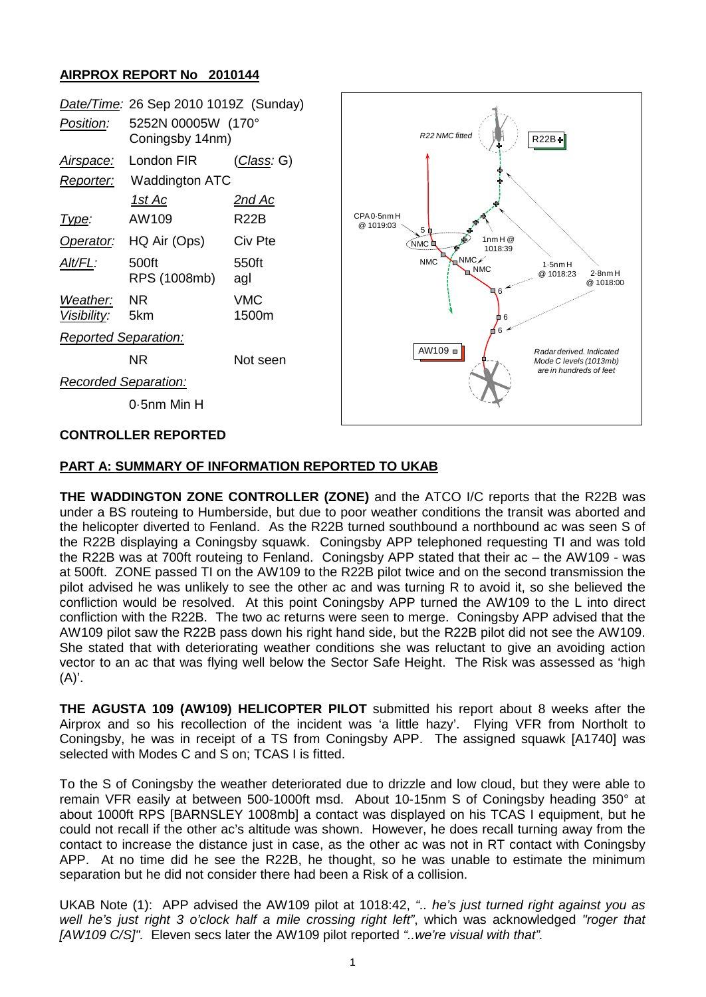## **AIRPROX REPORT No 2010144**

| Date/Time: 26 Sep 2010 1019Z (Sunday) |                                       |                     |                                                                                                                          |
|---------------------------------------|---------------------------------------|---------------------|--------------------------------------------------------------------------------------------------------------------------|
| Position:                             | 5252N 00005W (170°<br>Coningsby 14nm) |                     | R22 NMC fitted<br>$R22B+$                                                                                                |
| <u>Airspace:</u>                      | London FIR                            | <u> Class</u> : G)  |                                                                                                                          |
| <b>Waddington ATC</b><br>Reporter:    |                                       |                     |                                                                                                                          |
|                                       | <u>1st Ac</u>                         | <u>2nd Ac</u>       |                                                                                                                          |
| Type:                                 | AW109                                 | <b>R22B</b>         | CPA0-5nmH<br>@ 1019:03<br>5 占                                                                                            |
| Operator:                             | HQ Air (Ops)                          | Civ Pte             | 1nmH@<br>NMC L<br>1018:39                                                                                                |
| Alt/FL:                               | 500ft<br>RPS (1008mb)                 | 550ft<br>agl        | $\zeta$ NMC $\ell$<br><b>NMC</b><br>$1.5$ nm $H$<br><b>NMC</b><br>$2.8$ nm $H$<br>@ 1018:23<br>@ 1018:00<br>6<br>П<br>₫6 |
| Weather:<br>Visibility:               | <b>NR</b><br>5km                      | <b>VMC</b><br>1500m |                                                                                                                          |
| <b>Reported Separation:</b>           |                                       |                     | 6                                                                                                                        |
|                                       | <b>NR</b>                             | Not seen            | $AW109 =$<br>Radar derived, Indicated<br>Mode C levels (1013mb)<br>are in hundreds of feet                               |
| <b>Recorded Separation:</b>           |                                       |                     |                                                                                                                          |
|                                       | 0.5nm Min H                           |                     |                                                                                                                          |
| <b>CONTROLLER REPORTED</b>            |                                       |                     |                                                                                                                          |

## **PART A: SUMMARY OF INFORMATION REPORTED TO UKAB**

**THE WADDINGTON ZONE CONTROLLER (ZONE)** and the ATCO I/C reports that the R22B was under a BS routeing to Humberside, but due to poor weather conditions the transit was aborted and the helicopter diverted to Fenland. As the R22B turned southbound a northbound ac was seen S of the R22B displaying a Coningsby squawk. Coningsby APP telephoned requesting TI and was told the R22B was at 700ft routeing to Fenland. Coningsby APP stated that their ac – the AW109 - was at 500ft. ZONE passed TI on the AW109 to the R22B pilot twice and on the second transmission the pilot advised he was unlikely to see the other ac and was turning R to avoid it, so she believed the confliction would be resolved. At this point Coningsby APP turned the AW109 to the L into direct confliction with the R22B. The two ac returns were seen to merge. Coningsby APP advised that the AW109 pilot saw the R22B pass down his right hand side, but the R22B pilot did not see the AW109. She stated that with deteriorating weather conditions she was reluctant to give an avoiding action vector to an ac that was flying well below the Sector Safe Height. The Risk was assessed as 'high  $(A)^{\prime}$ .

**THE AGUSTA 109 (AW109) HELICOPTER PILOT** submitted his report about 8 weeks after the Airprox and so his recollection of the incident was 'a little hazy'. Flying VFR from Northolt to Coningsby, he was in receipt of a TS from Coningsby APP. The assigned squawk [A1740] was selected with Modes C and S on; TCAS I is fitted.

To the S of Coningsby the weather deteriorated due to drizzle and low cloud, but they were able to remain VFR easily at between 500-1000ft msd. About 10-15nm S of Coningsby heading 350° at about 1000ft RPS [BARNSLEY 1008mb] a contact was displayed on his TCAS I equipment, but he could not recall if the other ac's altitude was shown. However, he does recall turning away from the contact to increase the distance just in case, as the other ac was not in RT contact with Coningsby APP. At no time did he see the R22B, he thought, so he was unable to estimate the minimum separation but he did not consider there had been a Risk of a collision.

UKAB Note (1): APP advised the AW109 pilot at 1018:42, *".. he's just turned right against you as well he's just right 3 o'clock half a mile crossing right left"*, which was acknowledged *"roger that [AW109 C/S]".* Eleven secs later the AW109 pilot reported *"..we're visual with that".*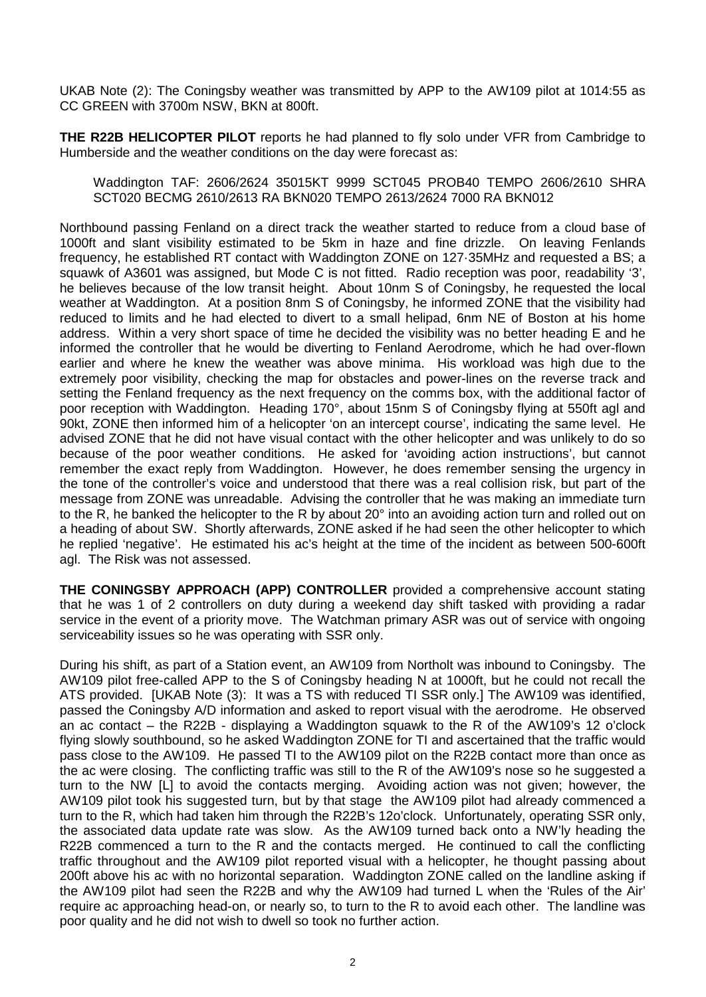UKAB Note (2): The Coningsby weather was transmitted by APP to the AW109 pilot at 1014:55 as CC GREEN with 3700m NSW, BKN at 800ft.

**THE R22B HELICOPTER PILOT** reports he had planned to fly solo under VFR from Cambridge to Humberside and the weather conditions on the day were forecast as:

Waddington TAF: 2606/2624 35015KT 9999 SCT045 PROB40 TEMPO 2606/2610 SHRA SCT020 BECMG 2610/2613 RA BKN020 TEMPO 2613/2624 7000 RA BKN012

Northbound passing Fenland on a direct track the weather started to reduce from a cloud base of 1000ft and slant visibility estimated to be 5km in haze and fine drizzle. On leaving Fenlands frequency, he established RT contact with Waddington ZONE on 127·35MHz and requested a BS; a squawk of A3601 was assigned, but Mode C is not fitted. Radio reception was poor, readability '3', he believes because of the low transit height. About 10nm S of Coningsby, he requested the local weather at Waddington. At a position 8nm S of Coningsby, he informed ZONE that the visibility had reduced to limits and he had elected to divert to a small helipad, 6nm NE of Boston at his home address. Within a very short space of time he decided the visibility was no better heading E and he informed the controller that he would be diverting to Fenland Aerodrome, which he had over-flown earlier and where he knew the weather was above minima. His workload was high due to the extremely poor visibility, checking the map for obstacles and power-lines on the reverse track and setting the Fenland frequency as the next frequency on the comms box, with the additional factor of poor reception with Waddington. Heading 170°, about 15nm S of Coningsby flying at 550ft agl and 90kt, ZONE then informed him of a helicopter 'on an intercept course', indicating the same level. He advised ZONE that he did not have visual contact with the other helicopter and was unlikely to do so because of the poor weather conditions. He asked for 'avoiding action instructions', but cannot remember the exact reply from Waddington. However, he does remember sensing the urgency in the tone of the controller's voice and understood that there was a real collision risk, but part of the message from ZONE was unreadable. Advising the controller that he was making an immediate turn to the R, he banked the helicopter to the R by about 20° into an avoiding action turn and rolled out on a heading of about SW. Shortly afterwards, ZONE asked if he had seen the other helicopter to which he replied 'negative'. He estimated his ac's height at the time of the incident as between 500-600ft agl. The Risk was not assessed.

**THE CONINGSBY APPROACH (APP) CONTROLLER** provided a comprehensive account stating that he was 1 of 2 controllers on duty during a weekend day shift tasked with providing a radar service in the event of a priority move. The Watchman primary ASR was out of service with ongoing serviceability issues so he was operating with SSR only.

During his shift, as part of a Station event, an AW109 from Northolt was inbound to Coningsby. The AW109 pilot free-called APP to the S of Coningsby heading N at 1000ft, but he could not recall the ATS provided. [UKAB Note (3): It was a TS with reduced TI SSR only.] The AW109 was identified, passed the Coningsby A/D information and asked to report visual with the aerodrome. He observed an ac contact – the R22B - displaying a Waddington squawk to the R of the AW109's 12 o'clock flying slowly southbound, so he asked Waddington ZONE for TI and ascertained that the traffic would pass close to the AW109. He passed TI to the AW109 pilot on the R22B contact more than once as the ac were closing. The conflicting traffic was still to the R of the AW109's nose so he suggested a turn to the NW [L] to avoid the contacts merging. Avoiding action was not given; however, the AW109 pilot took his suggested turn, but by that stage the AW109 pilot had already commenced a turn to the R, which had taken him through the R22B's 12o'clock. Unfortunately, operating SSR only, the associated data update rate was slow. As the AW109 turned back onto a NW'ly heading the R22B commenced a turn to the R and the contacts merged. He continued to call the conflicting traffic throughout and the AW109 pilot reported visual with a helicopter, he thought passing about 200ft above his ac with no horizontal separation. Waddington ZONE called on the landline asking if the AW109 pilot had seen the R22B and why the AW109 had turned L when the 'Rules of the Air' require ac approaching head-on, or nearly so, to turn to the R to avoid each other. The landline was poor quality and he did not wish to dwell so took no further action.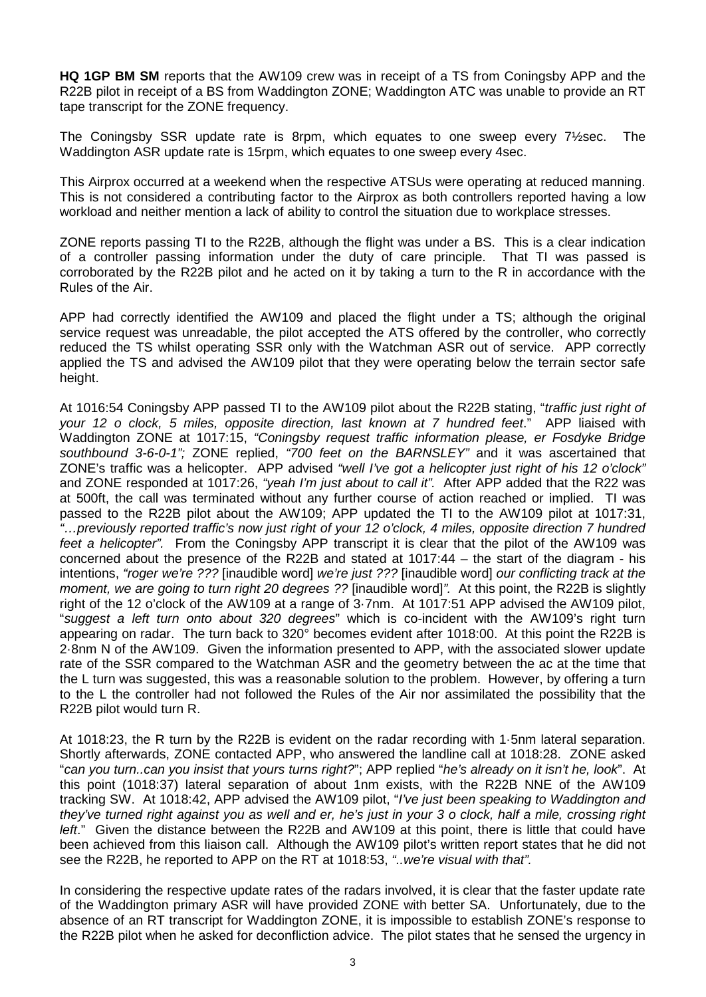**HQ 1GP BM SM** reports that the AW109 crew was in receipt of a TS from Coningsby APP and the R22B pilot in receipt of a BS from Waddington ZONE; Waddington ATC was unable to provide an RT tape transcript for the ZONE frequency.

The Coningsby SSR update rate is 8rpm, which equates to one sweep every 7½sec. The Waddington ASR update rate is 15rpm, which equates to one sweep every 4sec.

This Airprox occurred at a weekend when the respective ATSUs were operating at reduced manning. This is not considered a contributing factor to the Airprox as both controllers reported having a low workload and neither mention a lack of ability to control the situation due to workplace stresses.

ZONE reports passing TI to the R22B, although the flight was under a BS. This is a clear indication of a controller passing information under the duty of care principle. That TI was passed is corroborated by the R22B pilot and he acted on it by taking a turn to the R in accordance with the Rules of the Air.

APP had correctly identified the AW109 and placed the flight under a TS; although the original service request was unreadable, the pilot accepted the ATS offered by the controller, who correctly reduced the TS whilst operating SSR only with the Watchman ASR out of service. APP correctly applied the TS and advised the AW109 pilot that they were operating below the terrain sector safe height.

At 1016:54 Coningsby APP passed TI to the AW109 pilot about the R22B stating, "*traffic just right of your 12 o clock, 5 miles, opposite direction, last known at 7 hundred feet*." APP liaised with Waddington ZONE at 1017:15, *"Coningsby request traffic information please, er Fosdyke Bridge southbound 3-6-0-1";* ZONE replied, *"700 feet on the BARNSLEY"* and it was ascertained that ZONE's traffic was a helicopter. APP advised *"well I've got a helicopter just right of his 12 o'clock"* and ZONE responded at 1017:26, *"yeah I'm just about to call it".* After APP added that the R22 was at 500ft, the call was terminated without any further course of action reached or implied. TI was passed to the R22B pilot about the AW109; APP updated the TI to the AW109 pilot at 1017:31, *"…previously reported traffic's now just right of your 12 o'clock, 4 miles, opposite direction 7 hundred feet a helicopter".* From the Coningsby APP transcript it is clear that the pilot of the AW109 was concerned about the presence of the R22B and stated at 1017:44 – the start of the diagram - his intentions, *"roger we're ???* [inaudible word] *we're just ???* [inaudible word] *our conflicting track at the moment, we are going to turn right 20 degrees ??* [inaudible word]*".* At this point, the R22B is slightly right of the 12 o'clock of the AW109 at a range of 3·7nm. At 1017:51 APP advised the AW109 pilot, "*suggest a left turn onto about 320 degrees*" which is co-incident with the AW109's right turn appearing on radar. The turn back to 320° becomes evident after 1018:00. At this point the R22B is 2·8nm N of the AW109. Given the information presented to APP, with the associated slower update rate of the SSR compared to the Watchman ASR and the geometry between the ac at the time that the L turn was suggested, this was a reasonable solution to the problem. However, by offering a turn to the L the controller had not followed the Rules of the Air nor assimilated the possibility that the R22B pilot would turn R.

At 1018:23, the R turn by the R22B is evident on the radar recording with 1·5nm lateral separation. Shortly afterwards, ZONE contacted APP, who answered the landline call at 1018:28. ZONE asked "*can you turn..can you insist that yours turns right?*"; APP replied "*he's already on it isn't he, look*". At this point (1018:37) lateral separation of about 1nm exists, with the R22B NNE of the AW109 tracking SW. At 1018:42, APP advised the AW109 pilot, "*I've just been speaking to Waddington and they've turned right against you as well and er, he's just in your 3 o clock, half a mile, crossing right left*." Given the distance between the R22B and AW109 at this point, there is little that could have been achieved from this liaison call. Although the AW109 pilot's written report states that he did not see the R22B, he reported to APP on the RT at 1018:53, *"..we're visual with that".*

In considering the respective update rates of the radars involved, it is clear that the faster update rate of the Waddington primary ASR will have provided ZONE with better SA. Unfortunately, due to the absence of an RT transcript for Waddington ZONE, it is impossible to establish ZONE's response to the R22B pilot when he asked for deconfliction advice. The pilot states that he sensed the urgency in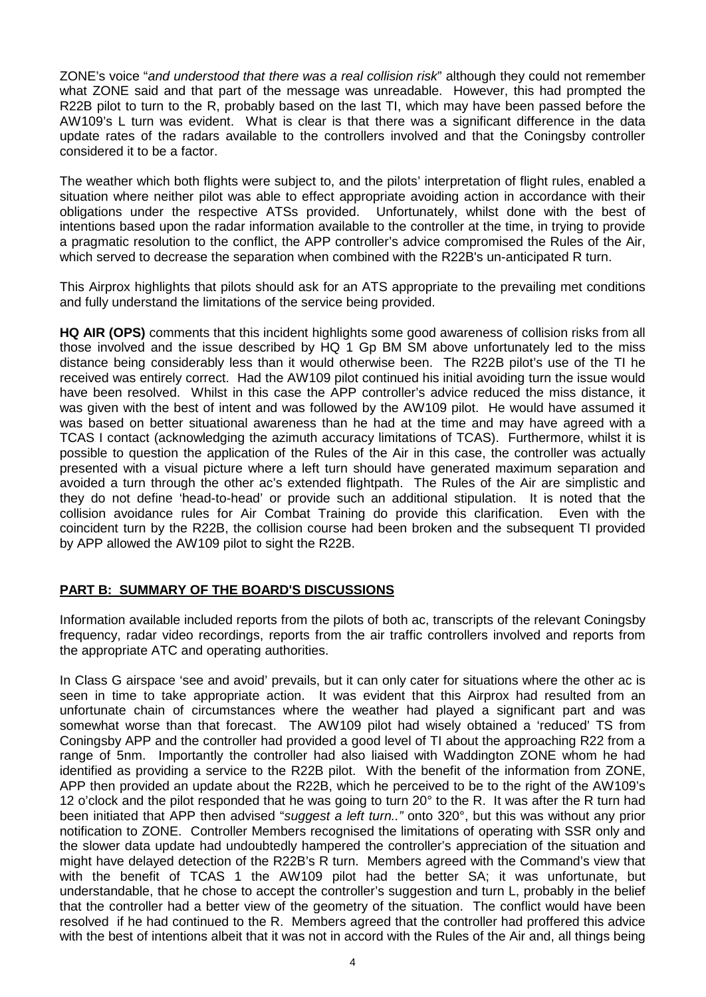ZONE's voice "*and understood that there was a real collision risk*" although they could not remember what ZONE said and that part of the message was unreadable. However, this had prompted the R22B pilot to turn to the R, probably based on the last TI, which may have been passed before the AW109's L turn was evident. What is clear is that there was a significant difference in the data update rates of the radars available to the controllers involved and that the Coningsby controller considered it to be a factor.

The weather which both flights were subject to, and the pilots' interpretation of flight rules, enabled a situation where neither pilot was able to effect appropriate avoiding action in accordance with their obligations under the respective ATSs provided. Unfortunately, whilst done with the best of intentions based upon the radar information available to the controller at the time, in trying to provide a pragmatic resolution to the conflict, the APP controller's advice compromised the Rules of the Air, which served to decrease the separation when combined with the R22B's un-anticipated R turn.

This Airprox highlights that pilots should ask for an ATS appropriate to the prevailing met conditions and fully understand the limitations of the service being provided.

**HQ AIR (OPS)** comments that this incident highlights some good awareness of collision risks from all those involved and the issue described by HQ 1 Gp BM SM above unfortunately led to the miss distance being considerably less than it would otherwise been. The R22B pilot's use of the TI he received was entirely correct. Had the AW109 pilot continued his initial avoiding turn the issue would have been resolved. Whilst in this case the APP controller's advice reduced the miss distance, it was given with the best of intent and was followed by the AW109 pilot. He would have assumed it was based on better situational awareness than he had at the time and may have agreed with a TCAS I contact (acknowledging the azimuth accuracy limitations of TCAS). Furthermore, whilst it is possible to question the application of the Rules of the Air in this case, the controller was actually presented with a visual picture where a left turn should have generated maximum separation and avoided a turn through the other ac's extended flightpath. The Rules of the Air are simplistic and they do not define 'head-to-head' or provide such an additional stipulation. It is noted that the collision avoidance rules for Air Combat Training do provide this clarification. Even with the coincident turn by the R22B, the collision course had been broken and the subsequent TI provided by APP allowed the AW109 pilot to sight the R22B.

### **PART B: SUMMARY OF THE BOARD'S DISCUSSIONS**

Information available included reports from the pilots of both ac, transcripts of the relevant Coningsby frequency, radar video recordings, reports from the air traffic controllers involved and reports from the appropriate ATC and operating authorities.

In Class G airspace 'see and avoid' prevails, but it can only cater for situations where the other ac is seen in time to take appropriate action. It was evident that this Airprox had resulted from an unfortunate chain of circumstances where the weather had played a significant part and was somewhat worse than that forecast. The AW109 pilot had wisely obtained a 'reduced' TS from Coningsby APP and the controller had provided a good level of TI about the approaching R22 from a range of 5nm. Importantly the controller had also liaised with Waddington ZONE whom he had identified as providing a service to the R22B pilot. With the benefit of the information from ZONE, APP then provided an update about the R22B, which he perceived to be to the right of the AW109's 12 o'clock and the pilot responded that he was going to turn 20° to the R. It was after the R turn had been initiated that APP then advised "*suggest a left turn.."* onto 320°, but this was without any prior notification to ZONE. Controller Members recognised the limitations of operating with SSR only and the slower data update had undoubtedly hampered the controller's appreciation of the situation and might have delayed detection of the R22B's R turn. Members agreed with the Command's view that with the benefit of TCAS 1 the AW109 pilot had the better SA; it was unfortunate, but understandable, that he chose to accept the controller's suggestion and turn L, probably in the belief that the controller had a better view of the geometry of the situation. The conflict would have been resolved if he had continued to the R. Members agreed that the controller had proffered this advice with the best of intentions albeit that it was not in accord with the Rules of the Air and, all things being